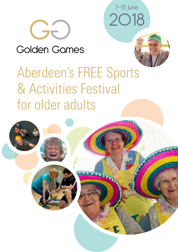2018 7-15 June



Golden Games



# Aberdeen's FREE Sports & Activities Festival for older adults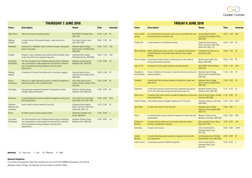| <b>THURSDAY 7 JUNE 2018</b>                     |                                                                                                                                                                                                                       |                                                                                            |                 |                  |  |
|-------------------------------------------------|-----------------------------------------------------------------------------------------------------------------------------------------------------------------------------------------------------------------------|--------------------------------------------------------------------------------------------|-----------------|------------------|--|
| <b>Event</b>                                    | <b>Description</b>                                                                                                                                                                                                    | <b>Venue</b>                                                                               | <b>Time</b>     | <b>Intensity</b> |  |
| <b>Table Tennis</b>                             | Table tennis session (singles/doubles)                                                                                                                                                                                | RGU SPORT, Garthdee Road,<br><b>AB107GE</b>                                                | $10.00 - 11.00$ | M                |  |
| Walking<br>Football                             | A slower version of the beautiful game - same rules just no<br>running!                                                                                                                                               | <b>Torry Sports Centre, Oscar</b><br>Road, AB11 8ER                                        | $10.00 - 11.00$ | M                |  |
| Racketball                                      | Introduction to racketball, which is similar to squash, learning the<br>basics of the game.                                                                                                                           | Aberdeen Sports Village,<br>Sports Centre, Linksfield Road,<br><b>AB24 5RU</b>             | $10.00 - 11.30$ | L/M              |  |
| Footgolf                                        | Footgolf is new to Aberdeen and combines Golf & Football. Easier<br>to play than Golf and no equipment required.                                                                                                      | Hazlehead Golf Complex,<br>Hazlehead Avenue, AB15 8DB                                      | $10.00 - 11.30$ | L/M              |  |
| Care Home<br>Pentathalon                        | The Team Pentathlon host 5 different physical activity challenges<br>and is specifically for older people from care facilities, sheltered<br>and very sheltered housing complexes, and third sector<br>organisations  | Westburn Outdoor Centre,<br>Westburn Park, AB25 3DE                                        | $11.00 - 13.00$ | V/L              |  |
| Walking<br>Netball                              | An adaption of the well-loved game with no running or jogging.                                                                                                                                                        | <b>Jesmond Sports Centre,</b><br>Jesmond Drive, Bridge of Don,<br><b>AB22 8UR</b>          | $12.00 - 13.00$ | M                |  |
| Intro to<br>Gymnastics                          | Take part in a gentle gymnastics session, suitable for beginners or<br>experienced adults, with a qualified coach.                                                                                                    | Alex Collie Sports Centre,<br>Carden's Knowe, Bridge of Don,<br><b>AB22 8PE</b>            | $12.00 - 13.00$ | M                |  |
| Technogym                                       | Easy-going gym equipment designed to help people increase<br>strength, balance & flexibility.                                                                                                                         | Westburn Outdoor Centre,<br>Westburn Park, AB25 3DE                                        | $12.00 - 13.00$ | M                |  |
| <b>Badminton</b>                                | A coached Badminton session suitable for beginners or those who<br>have played before.                                                                                                                                | Torry Youth & Leisure Centre,<br>Oscar Road, Torry, AB11 8ER                               | $13.00 - 14.00$ | M/H              |  |
| Flashmob<br><b>Rehersal with</b><br>Quicksilver | Learn a dance routine to perform if you wish.                                                                                                                                                                         | <b>Citymoves Dance Agency</b><br>Studio, Top Floor, Triple Kirks,<br>School Hill, AB10 1JS | $13.30 - 15.00$ | M                |  |
| <b>Boccia</b>                                   | An Indoor version of bowls, played seated.                                                                                                                                                                            | <b>Alzhemiers Scotland, King</b><br>Street, AB24 5AA                                       | $13.30 - 15.00$ | L                |  |
| <b>Care Home</b><br>Pentathalon                 | The Team Pentathlon host 5 different physical activity challenges<br>and is specifically for older people from care facilities, sheltered<br>and very sheltered housing complexes, and third sector<br>organisations. | Westburn Outdoor Centre,<br>Westburn Park, AB25 3DE                                        | $14.00 - 16.00$ | V/L              |  |

**Intensity** VL - Very Low L - Low M - Medium H - High

#### **General Enquiries**

If you have any questions about the sessions you can call 01224 438900 and speak to the staff at Aberdeen Sports Village. All bookings must be made via the Box Office.

| <b>FRIDAY 8 JUNE 2018</b>           |                                                                                                                                                  |                                                                                            |                 |                  |  |
|-------------------------------------|--------------------------------------------------------------------------------------------------------------------------------------------------|--------------------------------------------------------------------------------------------|-----------------|------------------|--|
| <b>Event</b>                        | <b>Description</b>                                                                                                                               | <b>Venue</b>                                                                               | <b>Time</b>     | <b>Intensity</b> |  |
| Intro to indoor<br>Cycling          | An instructed 30 minute session with music using indoor bikes and<br>the virtual wall for an outdoor view.                                       | <b>Jesmond Sports Centre,</b><br>Jesmond Drive, Bridge of Don,<br><b>AB22 8UR</b>          | $10.00 - 11.00$ | M/H              |  |
| <b>Fitsteps Fab</b>                 | A class based on Latin & Ballroom moves.                                                                                                         | <b>Citymoves Dance Agency</b><br>Studio, Top Floor, Triple Kirks,<br>School Hill, AB10 1JS | $10.00 - 11.00$ | M                |  |
| <b>Nordic Walking</b>               | Nordic walking uses sticks or poles. It is a great all round dynamic<br>strength exercise involving the upper body more than regular<br>walking. | Hazlehead Park (meet at car<br>park beside cafe)                                           | $10.00 - 11.00$ | M                |  |
| Intro to the gym                    | An instructer led Gym session, introducing you to the variety of<br>cardio and resistance machines.                                              | Beach Leisure Centre, Sea<br>Beach, AB24 5NR                                               | $10.00 - 11.00$ | M                |  |
| Learn to Lift                       | Introduction to free weight resistance training exercises.                                                                                       | RGU SPORT, Garthdee Road,<br><b>AB107GE</b>                                                | $10.30 - 11.30$ | M/H              |  |
| <b>Dreamboats</b><br>and Petticoats | Dance in reflection to the music to move the body into exercise and<br>promote wellness.                                                         | Aberdeen Sports Village,<br>Sports Centre, Linksfield Road,<br><b>AB24 5RU</b>             | $11.00 - 11.45$ | M                |  |
| Pickleball                          | A racket sport that combines elements of badminton, tennis, and<br>table tennis.                                                                 | Aberdeen Sports Village,<br>Sports Centre, Linksfield Road,<br><b>AB24 5RU</b>             | $11.00 - 12.30$ | M                |  |
| Osteobuild                          | A class with resistance, gentle bone load, cardiovascular exercise<br>and Tai Chi which aims to improve bone density over time.                  | <b>Westburn Outdoor Centre,</b><br>Westburn Park, AB25 3DE                                 | $12.15 - 13.15$ | M                |  |
| <b>Table Tennis</b>                 | A coached Table Tennis session suitable for beginners or those who<br>have played before.                                                        | Kincorth Sports Centre, Corthan<br>Crescent, AB12 5BB                                      | $11.30 - 13.00$ | M                |  |
| <b>Indoor Climbing</b>              | rock climbing indoors to heights ranging from 10-15 metres.                                                                                      | Transition Extreme, Links Road,<br><b>AB24 5NN</b>                                         | $12.00 - 12.30$ | M/H              |  |
| <b>Open Swim</b>                    | An open swim session in our 25m pool.                                                                                                            | Aberdeen Sports Village,<br><b>Aquatics Centre, Regent Walk,</b><br><b>AB24 1SX</b>        | $12.00 - 13.00$ | L                |  |
| <b>Tennis</b>                       | A coached Tennis session suitable for beginners or those who have<br>played before.                                                              | <b>Westburn Tennis Centre,</b><br>Westburn Park Road, AB25 3DE                             | $12.00 - 13.30$ | M/H              |  |
| Putting and<br><b>Bowling</b>       | A relaxed session where you can try both putting and outdoor<br>bowling, no experience necessary.                                                | Albury Outdoor Centre, Albury<br>Road, AB11 6TN                                            | $13.00 - 15.00$ | L/M              |  |
| Swimming                            | An open swim session.                                                                                                                            | <b>Tullos Swimming Pool,</b><br>Girdleness Road, Torry,<br><b>AB11 8FJ</b>                 | $14.00 - 15.00$ | L/M/H            |  |
| Outdoor<br><b>Bowling</b>           | A coached Bowling session suitable for beginners or those with<br>some experience.                                                               | Cults Bowling Club, 293 North<br>Deeside Road, Cults, AB15 9PA                             | $14.00 - 16.00$ | M                |  |
| Learn to Swim                       | A small group session suitable for beginners.                                                                                                    | <b>Tullos Swimming Pool,</b><br>Girdleness Road, Torry,<br><b>AB11 8FJ</b>                 | $15.00 - 15.45$ | -L               |  |

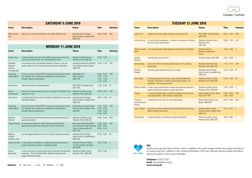| <b>SATURDAY 9 JUNE 2018</b>  |                                                                     |                                                                                |                 |                  |
|------------------------------|---------------------------------------------------------------------|--------------------------------------------------------------------------------|-----------------|------------------|
| <b>Event</b>                 | <b>Description</b>                                                  | <b>Venue</b>                                                                   | Time            | <b>Intensity</b> |
| <b>Multi Activity</b><br>Day | Take part in a variety of activities in our indoor athletics track. | Aberdeen Sports Village,<br>Sports Centre, Linksfield Road,<br><b>AB24 5RU</b> | $14.00 - 16.00$ | L/M              |

| <b>TUESDAY 12 JUNE 2018</b>                     |                                                                                                                                                                       |                                                                                   |                                    |                  |
|-------------------------------------------------|-----------------------------------------------------------------------------------------------------------------------------------------------------------------------|-----------------------------------------------------------------------------------|------------------------------------|------------------|
| <b>Event</b>                                    | <b>Description</b>                                                                                                                                                    | <b>Venue</b>                                                                      | <b>Time</b>                        | <b>Intensity</b> |
| Learn to Lift                                   | Introduction to free weight resistance training exercises.                                                                                                            | RGU SPORT, Garthdee Road,<br><b>AB107GE</b>                                       | $10.00 - 11.00$                    | M/H              |
| <b>Intro to Circuits</b>                        | A circuits class for beginners. A variety of exercises to introduce<br>you to a circuits-style session.                                                               | Westburn Outdoor Centre,<br>Westburn Park,<br><b>AB25 3DE</b>                     | $10.00 - 11.00$                    | L/M              |
| Pittodrie Health<br>Walk                        | Low intensity health walk followed by refreshments at Pittodrie.                                                                                                      | <b>Pittodrie Stadium</b><br><b>Richard Donald Stand</b><br>Gate 9                 | $10.00 - 12.00$                    | L                |
| Outdoor<br><b>Bowling</b>                       | Lawn bowling- group activity.                                                                                                                                         | 50 Carlton Place, AB15 4BQ                                                        | $10:00 - 12:00$                    | $\perp$          |
| <b>Belly Dancing</b>                            | Come and try this fascinating ancient dance in a fun relaxed<br>environment.                                                                                          | Westburn Outdoor Centre,<br>Westburn Park, AB25 3DE                               | $11.15 - 12.15$                    | L/M              |
| Walking<br>Football                             | Just like regular football but with no running!                                                                                                                       | Aberdeen Sports Village,<br>Sports Centre, Linksfield Road,<br><b>AB24 5RU</b>    | 12.30 - 13.30                      | M                |
| <b>Silver Steps</b>                             | An energising exercise to music class, promoting flexibility,<br>strength, coordination, mobility, cardiovascular health - and<br>enjoyment - for the young at heart. | Westburn Outdoor Centre,<br>Westburn Park, AB25 3DE                               | 12.30 - 13.30                      | M                |
|                                                 | Stable and Able A class using a combination of seated and standing exercises to<br>support and improve balance, strength & posture.                                   | Westburn Outdoor Centre,<br>Westburn Park, AB25 3DE                               | $13.45 - 14 - 45$                  | - 1.             |
| Croquet                                         | A coached Croquet session suitable for beginners or those who<br>have played before. With Crathes Croquet Club.                                                       | Albury Outdoor Centre, Albury<br>Road, AB11 6TN                                   | $14.00 - 15.00$<br>$15.00 - 16.00$ | L/M              |
| Friskis &<br><b>Svettis (Special</b><br>Senior) | A Swedish Exercise class for active older adults.                                                                                                                     | Beach Leisure Centre, Sea<br>Beach, AB24 5NR                                      | $14.00 - 15.00$                    | M/H              |
| Learn to Swim                                   | Improve your water confidence, and provide the basic principles<br>behind effective swimming.                                                                         | Aberdeen Sports Village<br><b>Aquatics Centre, Regent Walk</b><br><b>AB24 1SX</b> | 14.45 - 15.45                      | -L               |
| <b>Steady Steps</b>                             | A class focussing on stretching, strength and mobility.                                                                                                               | Westburn Outdoor Centre,<br>Westburn Park, AB25 3DE                               | $15.00 - 16.00$                    | $\mathsf{L}$     |



| <b>MONDAY 11 JUNE 2018</b> |                                                                                                                             |                                                     |                 |                  |
|----------------------------|-----------------------------------------------------------------------------------------------------------------------------|-----------------------------------------------------|-----------------|------------------|
| <b>Event</b>               | <b>Description</b>                                                                                                          | Venue                                               | Time            | <b>Intensity</b> |
| Seated Yoga                | A gentle seated yoga class with modified yoga poses so that they<br>can be done while seated in or standing beside a chair. | Westburn Outdoor Centre,<br>Westburn Park, AB25 3DE | $10.00 - 11.00$ |                  |
|                            |                                                                                                                             |                                                     |                 |                  |

|                                                  | regordo obatoa yoga oldoo with modifica yoga poobo oo that thoy<br>can be done while seated in or standing beside a chair.                                            | Westburn Park, AB25 3DE                                                                                             |                                                                          |     |
|--------------------------------------------------|-----------------------------------------------------------------------------------------------------------------------------------------------------------------------|---------------------------------------------------------------------------------------------------------------------|--------------------------------------------------------------------------|-----|
| Aberdeen<br>Women's<br>Alliance<br>Hertiage Walk | In association with the Aberdeen Women's Alliance, come and<br>explore some of the fascinating history & women of Aberdeen.                                           | Aberdeen Community Health &<br>Care Village, Frederick Street,<br><b>AB24 5HY</b>                                   | $10.00 - 11.30$                                                          | L/M |
| Functional<br>Fitness MOT's                      | Have you had your Fitness MOT? A gentle set of 6 exercises which<br>can highlight your strengths and weaknesses with regards to<br>strength, balance and flexibility. | Middlefield Hub<br><b>Manor Avenue</b><br><b>AB16 7UR</b>                                                           | $10.00 - 10.30$<br>$10.30 - 11.00$<br>$11.00 - 11.30$<br>$11.30 - 12.00$ | L/M |
| <b>Table Tennis</b>                              | Table tennis session (singles/doubles)                                                                                                                                | RGU SPORT, Garthdee Road,<br>AB10 7GE                                                                               | $11.00 - 12.00$                                                          | M   |
| Pilates<br>(Floor Based)                         | Exercise that focuses balance, posture, strength and flexibility. Floor<br>based with a mat.                                                                          | Westburn Outdoor Centre,<br>Westburn Park, AB25 3DE                                                                 | 13.00 - 14.00                                                            | L/M |
| <b>Table Tennis</b>                              | A coached Table Tennis session suitable for beginners or those who<br>have played before.                                                                             | Aberdeen Sports Village,<br>Sports Centre, Linksfield Road,<br><b>AB24 5RU</b>                                      | 13.00 - 14.00                                                            | M   |
| Functional<br>Fitness MOT's                      | Have you had your Fitness MOT? A gentle set of 6 exercises which<br>can highlight your strengths and weaknesses with regards to<br>strength, balance and flexibility. | <b>Danestone Community Centre</b><br>Fariview Street, Bridge of Don,<br><b>AB22 8ZP</b>                             | 14.00 - 14.30<br>14.30 - 15.00<br>15.00 - 15.30<br>15.30 - 16.00         | L/M |
| Ballroom<br>Dancing                              | An introduction to social ballroom dancing, everyone welcome, no<br>experience needed.                                                                                | Westburn Outdoor Centre,<br>Westburn Park, AB25 3DE                                                                 | 14.30 - 15.00                                                            | M/H |
| <b>Target Shooting</b>                           | An introductory session to target shooting suitable both for<br>beginners and anyone who may wish to return to the sport.                                             | <b>Bon Accord Small Bore Riffle</b><br>Club, Denwood Target Shooting<br>Centre, Countesswells Rd,<br><b>AB157YD</b> | $14.00 - 15.00$<br>$15.00 - 16.00$<br>$16.00 - 17.00$                    | L/M |
| Walking<br>Football<br>(Womens Only)             | Just like regular football but with no running! Ladies only session.                                                                                                  | Aberdeen Sports Village,<br>Sports Centre, Linksfield Road,<br><b>AB24 5RU</b>                                      | 14.30 - 15.30                                                            | M   |
|                                                  | Stable and Able A class using a combination of seated and standing exercises to<br>support and improve balance, strength & posture.                                   | Dementia Resource Centre,<br>13-19 King Street, Aberdeen<br><b>AB24 5AA</b>                                         | 14.30 - 15.30                                                            | L   |
| Gentle<br>Movement                               | A class focussing on smooth gentle body movements and breathing<br>awareness. Part of the Move More Aberdeen Programme for<br>people affected by Cancer.              | Westburn Outdoor Centre,<br>Westburn Park, AB25 3DE                                                                 | $15.00 - 16.00$                                                          | L   |



**VSA** Anyone of any age who helps a relative, friend or neighbour who cannot manage without their support has taken on an unpaid caring role in addition to their existing commitments. VSA Carer's Resource Service provides information, advice and support to Carer's across Aberdeen.

**Telephone:** 01224 212021 **Email:** Carersinfo@vsa.org.uk **www.vsa.org.uk**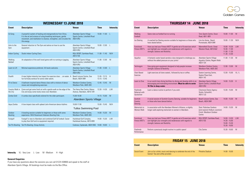### **THURSDAY 14 JUNE 2018**

| <b>WEDNESDAY 13 JUNE 2018</b> |                                                                                                                                                                                                                      |                                                                              |                                    |                  |  |
|-------------------------------|----------------------------------------------------------------------------------------------------------------------------------------------------------------------------------------------------------------------|------------------------------------------------------------------------------|------------------------------------|------------------|--|
| <b>Event</b>                  | <b>Description</b>                                                                                                                                                                                                   | <b>Venue</b>                                                                 | <b>Time</b>                        | <b>Intensity</b> |  |
| Qi Gong                       | A powerful system of healing and energymedicine from China.<br>It is the art and science of using breathing techniques, gentle<br>movement, and meditation to cleanse, strengthen, and circulate the<br>life energy. | Aberdeen Sports Village<br>Sports Centre, Linksfield Road<br><b>AB24 5RU</b> | $10.00 - 11.00$                    | L                |  |
| Intro to the<br>Gym           | General induction to The Gym and advice on how to use the<br>equipment                                                                                                                                               | Aberdeen Sports Village<br>Sports Centre, Linksfield Road<br><b>AB24 5RU</b> | $10.00 - 12.00$                    | -L               |  |
| <b>Indoor Cycling</b>         | Studio Indoor Cycling Class.                                                                                                                                                                                         | RGU SPORT, Garthdee Road,<br><b>AB107GE</b>                                  | $11.00 - 11.45$                    | M/H              |  |
| Walking<br>Netball            | An adaptation of the well loved game with no running or jogging.                                                                                                                                                     | Aberdeen Sports Village<br>Sports Centre, Linksfield Road<br><b>AB24 5RU</b> | $11.00 - 12.00$                    | M                |  |
| Learn to Lift                 | Minimal experience preferred. All levels welcome.                                                                                                                                                                    | Aberdeen Sports Village<br>Sports Centre, Linksfield Road<br><b>AB24 5RU</b> | $11.00 - 12.00$                    | L                |  |
| Floatfit                      | A new higher-intensity low impact fun exercise class  on water. A<br>fun full-body workout for active older adults.                                                                                                  | Beach Leisure Centre, Sea<br>Beach, AB24 5NR                                 | $12.45 - 13.15$<br>$13.15 - 13.45$ | H                |  |
| Fit to Dance                  | A ballroom-inspired dance fitness class with a mixture of dance<br>moves and strengthening exercises                                                                                                                 | Westburn Outdoor Centre,<br>Westburn Park, AB25 3DE                          | 12.45 - 13.45                      | M                |  |
| Country Walk in<br>the City   | Come and get some fresh air with a gentle walk on the edge of the<br>City and enjoy some lovely views over Aberdeen.                                                                                                 | The Henry Rae Centre, Manor<br>Avenue, Aberdeen, AB16 7UR                    | 13.30 - 14.30                      | L/M              |  |
| Zumba Gold                    | A zumba class specifically tailored for the older participant.                                                                                                                                                       | 15.00-16.00<br>Aberdeen Sports Village                                       | 14.15 - 15.00                      | M                |  |
| Aqua Zumba                    | A low-impact class with upbeat Latin-American dance rhythms                                                                                                                                                          | 16.00-17.00<br><b>Tullos Swimming Pool</b>                                   | 15.00 - 15.45                      | M/H              |  |
| Outdoor<br><b>Bowling</b>     | A bowling session suitable for beginners or those with some<br>experience. With Rosemount Veterans Bowling Club.                                                                                                     | Westburn Outdoor Centre,<br>Westburn Park, AB25 3DE                          | 14.00 - 15.30                      | M                |  |
| Footgolf                      | Footgolf is new to Aberdeen and combined Golf & Football. Easier<br>to play than Golf and no equipment required.                                                                                                     | Hazlehead Golf Complex,<br>Hazlehead Avenue, AB15 8DB                        | 14.00 - 15.30                      | L/M              |  |
| <b>Ten Pin Bowling</b>        | Ten Pin Bowling- Group Activity                                                                                                                                                                                      | Codonas, Esplanade, AB24 5NS                                                 | 14:00 - 16:00                      | L                |  |

**Intensity** VL - Very Low L - Low M - Medium H - High

| IHUKSDAY 14  JUNE ZU18                   |                                                                                                                                                                       |                                                                                                         |                                                                        |                  |
|------------------------------------------|-----------------------------------------------------------------------------------------------------------------------------------------------------------------------|---------------------------------------------------------------------------------------------------------|------------------------------------------------------------------------|------------------|
| <b>Event</b>                             | <b>Description</b>                                                                                                                                                    | <b>Venue</b>                                                                                            | <b>Time</b>                                                            | <b>Intensity</b> |
| Walking<br>Football                      | Same rules as football but no running.                                                                                                                                | <b>Torry Sports Centre, Oscar</b><br>Road, AB11 8ER                                                     | $10.00 - 11.00$                                                        | M                |
| Ice Skating                              | A coached Ice Skating session suitable for beginners or those who<br>have skated before.                                                                              | Linx Ice Arena, Beach<br>Promenade, AB24 5NR                                                            | $10.00 - 11.30$                                                        | M/H              |
| Functional<br><b>Fitness MOT's</b>       | Have you had your Fitness MOT? A gentle set of 6 exercises which<br>can highlight your strengths and weaknesses with regards to<br>strength, balance and flexibility. | Mannofield Church, Great<br>Western Road, AB10 6UZ                                                      | $10.00 - 10.30$<br>$10.30 - 11.00$<br>11.00 - 11.30<br>$11.30 - 12.00$ | L/M              |
| Aquafun                                  | A fantastic water based aerobics class designed to challenge you<br>without the added pressure on your joints!                                                        | Aberdeen Sports Village<br>Aquatics Centre, Regent Walk<br><b>AB24 1SX</b>                              | 11.00 - 11.30                                                          | M                |
| Technogym                                | Easy-going gym equipment designed to help people increase<br>strength, balance & flexibility.                                                                         | Westburn Outdoor Centre,<br>Westburn Park, AB25 3DE                                                     | 12.00 - 13.00                                                          | M                |
| <b>Chair Based</b><br>Exercise           | Light exercises all done seated., followed by tea or coffee.                                                                                                          | Seaton Learning Centre,<br>Seaton Place East,<br><b>AB24 1XE</b>                                        | $13.30 - 15.00$                                                        | VL/L             |
| Learn to Dive                            | In our world class diving facilities try diving and develop skills in an<br>encouraging and motivating environment. Must be able to swim<br>10-15m in deep water.     | Aberdeen Sports Village<br>Sports Centre, Linksfield Road<br><b>AB24 5RU</b>                            | $14.00 - 15.30$                                                        | H                |
| Flashmob<br>Rehersal with<br>Quicksilver | Learn a dance routine to perform if you wish.                                                                                                                         | <b>Citymoves Dance Agency</b><br>Studio, Schoolhill,<br>AB10 1JQ                                        | 13.30 - 15.00                                                          | M                |
| Scottish<br>Country<br>Dancing           | A social session of Scottish Country Dancing, suitable for beginners<br>or those who have danced before.                                                              | Beach Leisure Centre, Sea<br>Beach, AB24 5NR                                                            | 14.00 - 15.30                                                          | M                |
| Memorials to<br>Women Walk               | In association with the Aberdeen Women's Alliance, a slightly<br>longer walk exploring memorials to women in Aberdeen.                                                | <b>Start: Rubislaw Gardens</b><br>(end nearerst Holburn Junction)<br>Finish: Westburn Outdoor<br>Centre | 14:00 - 15:30                                                          | M                |
| Functional<br><b>Fitness MOT's</b>       | Have you had your Fitness MOT? A gentle set of 6 exercises which<br>can highlight your strengths and weaknesses with regards to<br>strength, balance and flexibility. | RGU SPORT, Garthdee Road,<br><b>AB107GE</b>                                                             | 14.00 - 14.30<br>14.30 - 15.00<br>15.00 - 15.30<br>15.30 - 16.00       | L/M              |
| Flashmob<br>Performance                  | Perform a previously taught routine in a public space!                                                                                                                | <b>City Centre</b>                                                                                      | $15.30 - 16.00$                                                        | M                |
|                                          |                                                                                                                                                                       |                                                                                                         |                                                                        |                  |

**College** 



#### **General Enquiries**

If you have any questions about the sessions you can call 01224 438900 and speak to the staff at Aberdeen Sports Village. All bookings must be made via the Box Office.

| <b>FRIDAY 15 JUNE 2018</b> |                                                                                                       |                          |                 |                  |
|----------------------------|-------------------------------------------------------------------------------------------------------|--------------------------|-----------------|------------------|
| <b>Event</b>               | <b>Description</b>                                                                                    | <b>Venue</b>             | Time            | <b>Intensity</b> |
| <b>Social Event</b>        | Join us for a drink, music and dancing to celebrate the end of the<br>Games! Tea and coffee provided. | <b>Pittodrie Stadium</b> | $14.00 - 16.00$ |                  |